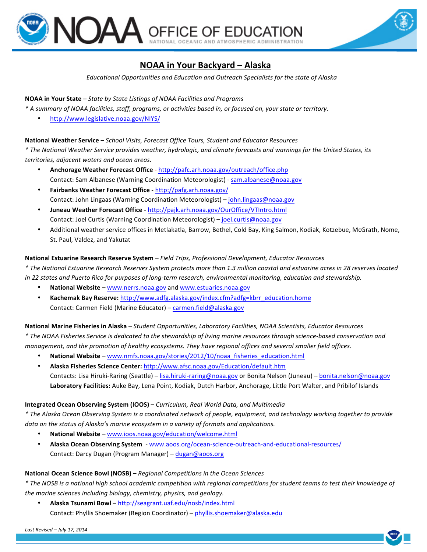



# **NOAA in Your Backyard – Alaska**

*Educational Opportunities and Education and Outreach Specialists for the state of Alaska*

## **NOAA in Your State** – *State by State Listings of NOAA Facilities and Programs*

*\* A summary of NOAA facilities, staff, programs, or activities based in, or focused on, your state or territory.*

• http://www.legislative.noaa.gov/NIYS/

## **National Weather Service - School Visits, Forecast Office Tours, Student and Educator Resources**

*\* The National Weather Service provides weather, hydrologic, and climate forecasts and warnings for the United States, its territories, adjacent waters and ocean areas.*

- **Anchorage Weather Forecast Office** http://pafc.arh.noaa.gov/outreach/office.php Contact: Sam Albanese (Warning Coordination Meteorologist) - sam.albanese@noaa.gov
- **Fairbanks Weather Forecast Office**  http://pafg.arh.noaa.gov/ Contact: John Lingaas (Warning Coordination Meteorologist) – john.lingaas@noaa.gov
- **Juneau Weather Forecast Office**  http://pajk.arh.noaa.gov/OurOffice/VTIntro.html Contact: Joel Curtis (Warning Coordination Meteorologist) - joel.curtis@noaa.gov
- Additional weather service offices in Metlakatla, Barrow, Bethel, Cold Bay, King Salmon, Kodiak, Kotzebue, McGrath, Nome, St. Paul, Valdez, and Yakutat

## National Estuarine Research Reserve System - Field Trips, Professional Development, Educator Resources

*\* The National Estuarine Research Reserves System protects more than 1.3 million coastal and estuarine acres in 28 reserves located*  in 22 states and Puerto Rico for purposes of long-term research, environmental monitoring, education and stewardship.

- National Website www.nerrs.noaa.gov and www.estuaries.noaa.gov
- **Kachemak Bay Reserve:** http://www.adfg.alaska.gov/index.cfm?adfg=kbrr\_education.home Contact: Carmen Field (Marine Educator) – carmen.field@alaska.gov

National Marine Fisheries in Alaska – *Student Opportunities, Laboratory Facilities, NOAA Scientists, Educator Resources \* The NOAA Fisheries Service is dedicated to the stewardship of living marine resources through science-based conservation and management, and the promotion of healthy ecosystems. They have regional offices and several smaller field offices.* 

- **National Website** www.nmfs.noaa.gov/stories/2012/10/noaa\_fisheries\_education.html
- **Alaska Fisheries Science Center:** http://www.afsc.noaa.gov/Education/default.htm Contacts: Lisa Hiruki-Raring (Seattle) – lisa.hiruki-raring@noaa.gov or Bonita Nelson (Juneau) – bonita.nelson@noaa.gov Laboratory Facilities: Auke Bay, Lena Point, Kodiak, Dutch Harbor, Anchorage, Little Port Walter, and Pribilof Islands

### **Integrated Ocean Observing System (IOOS)** – *Curriculum, Real World Data, and Multimedia*

*\* The Alaska Ocean Observing System is a coordinated network of people, equipment, and technology working together to provide data* on the status of Alaska's marine ecosystem in a variety of formats and applications.

- **National Website** www.ioos.noaa.gov/education/welcome.html
- Alaska Ocean Observing System www.aoos.org/ocean-science-outreach-and-educational-resources/ Contact: Darcy Dugan (Program Manager) – dugan@aoos.org

### **National Ocean Science Bowl (NOSB)** – *Regional Competitions in the Ocean Sciences*

*\* The NOSB is a national high school academic competition with regional competitions for student teams to test their knowledge of*  the marine sciences including biology, chemistry, physics, and geology.

• **Alaska Tsunami Bowl** – http://seagrant.uaf.edu/nosb/index.html Contact: Phyllis Shoemaker (Region Coordinator) - phyllis.shoemaker@alaska.edu

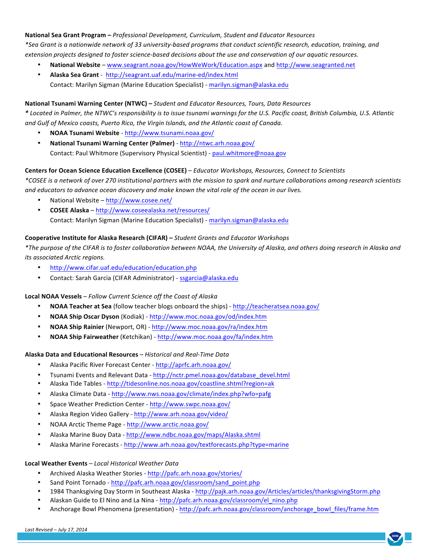National Sea Grant Program - Professional Development, Curriculum, Student and Educator Resources *\*Sea Grant is a nationwide network of 33 university-based programs that conduct scientific research, education, training, and*  extension projects designed to foster science-based decisions about the use and conservation of our aquatic resources.

- **National Website** www.seagrant.noaa.gov/HowWeWork/Education.aspx and http://www.seagranted.net
- **Alaska Sea Grant** http://seagrant.uaf.edu/marine-ed/index.html Contact: Marilyn Sigman (Marine Education Specialist) - marilyn.sigman@alaska.edu

### National Tsunami Warning Center (NTWC) - *Student and Educator Resources, Tours, Data Resources*

*\* Located in Palmer, the NTWC's responsibility is to issue tsunami warnings for the U.S. Pacific coast, British Columbia, U.S. Atlantic*  and Gulf of Mexico coasts, Puerto Rico, the Virgin Islands, and the Atlantic coast of Canada.

- **NOAA Tsunami Website** http://www.tsunami.noaa.gov/
- National Tsunami Warning Center (Palmer) http://ntwc.arh.noaa.gov/ Contact: Paul Whitmore (Supervisory Physical Scientist) - paul.whitmore@noaa.gov

## **Centers for Ocean Science Education Excellence (COSEE)** – *Educator Workshops, Resources, Connect to Scientists*

*\*COSEE is a network of over 270 institutional partners with the mission to spark and nurture collaborations among research scientists*  and educators to advance ocean discovery and make known the vital role of the ocean in our lives.

- National Website http://www.cosee.net/
- **COSEE Alaska** http://www.coseealaska.net/resources/ Contact: Marilyn Sigman (Marine Education Specialist) - marilyn.sigman@alaska.edu

## **Cooperative Institute for Alaska Research (CIFAR)** – *Student Grants and Educator Workshops*

*\*The purpose of the CIFAR is to foster collaboration between NOAA, the University of Alaska, and others doing research in Alaska and its associated Arctic regions.*

- http://www.cifar.uaf.edu/education/education.php
- Contact: Sarah Garcia (CIFAR Administrator) ssgarcia@alaska.edu

### **Local NOAA Vessels** – *Follow Current Science off the Coast of Alaska*

- **NOAA Teacher at Sea** (follow teacher blogs onboard the ships) http://teacheratsea.noaa.gov/
- **NOAA Ship Oscar Dyson** (Kodiak) - http://www.moc.noaa.gov/od/index.htm
- **NOAA Ship Rainier** (Newport, OR) - http://www.moc.noaa.gov/ra/index.htm
- **NOAA Ship Fairweather** (Ketchikan) - http://www.moc.noaa.gov/fa/index.htm

### **Alaska Data and Educational Resources** *– Historical and Real-Time Data*

- Alaska Pacific River Forecast Center http://aprfc.arh.noaa.gov/
- Tsunami Events and Relevant Data http://nctr.pmel.noaa.gov/database\_devel.html
- Alaska Tide Tables http://tidesonline.nos.noaa.gov/coastline.shtml?region=ak
- Alaska Climate Data http://www.nws.noaa.gov/climate/index.php?wfo=pafg
- Space Weather Prediction Center - http://www.swpc.noaa.gov/
- Alaska Region Video Gallery http://www.arh.noaa.gov/video/
- NOAA Arctic Theme Page http://www.arctic.noaa.gov/
- Alaska Marine Buoy Data http://www.ndbc.noaa.gov/maps/Alaska.shtml
- Alaska Marine Forecasts http://www.arh.noaa.gov/textforecasts.php?type=marine

### **Local Weather Events** *– Local Historical Weather Data*

- Archived Alaska Weather Stories http://pafc.arh.noaa.gov/stories/
- Sand Point Tornado http://pafc.arh.noaa.gov/classroom/sand\_point.php
- 1984 Thanksgiving Day Storm in Southeast Alaska http://pajk.arh.noaa.gov/Articles/articles/thanksgivingStorm.php
- Alaskan Guide to El Nino and La Nina http://pafc.arh.noaa.gov/classroom/el\_nino.php
- Anchorage Bowl Phenomena (presentation) http://pafc.arh.noaa.gov/classroom/anchorage\_bowl\_files/frame.htm